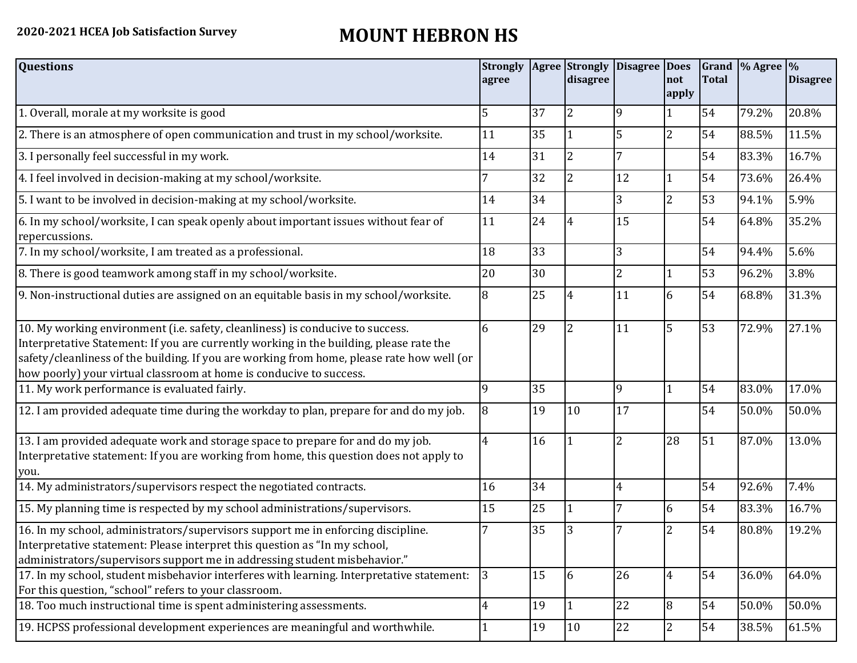## **2020-2021 HCEA Job Satisfaction Survey MOUNT HEBRON HS**

| <b>Questions</b>                                                                                                                                                                                                                                                                                                                               | <b>Strongly</b><br>agree |    | <b>Agree</b> Strongly<br>disagree | Disagree  Does | not<br>apply   | <b>Total</b> | Grand % Agree % | <b>Disagree</b> |
|------------------------------------------------------------------------------------------------------------------------------------------------------------------------------------------------------------------------------------------------------------------------------------------------------------------------------------------------|--------------------------|----|-----------------------------------|----------------|----------------|--------------|-----------------|-----------------|
| 1. Overall, morale at my worksite is good                                                                                                                                                                                                                                                                                                      | 5                        | 37 | $\overline{2}$                    | 9              |                | 54           | 79.2%           | 20.8%           |
| 2. There is an atmosphere of open communication and trust in my school/worksite.                                                                                                                                                                                                                                                               | 11                       | 35 |                                   | 5              | $\overline{2}$ | 54           | 88.5%           | 11.5%           |
| 3. I personally feel successful in my work.                                                                                                                                                                                                                                                                                                    | 14                       | 31 | $\overline{2}$                    |                |                | 54           | 83.3%           | 16.7%           |
| 4. I feel involved in decision-making at my school/worksite.                                                                                                                                                                                                                                                                                   | 7                        | 32 | $\overline{2}$                    | 12             | 1              | 54           | 73.6%           | 26.4%           |
| 5. I want to be involved in decision-making at my school/worksite.                                                                                                                                                                                                                                                                             | 14                       | 34 |                                   | 3              | $\overline{2}$ | 53           | 94.1%           | 5.9%            |
| 6. In my school/worksite, I can speak openly about important issues without fear of<br>repercussions.                                                                                                                                                                                                                                          | 11                       | 24 |                                   | 15             |                | 54           | 64.8%           | 35.2%           |
| 7. In my school/worksite, I am treated as a professional.                                                                                                                                                                                                                                                                                      | 18                       | 33 |                                   | 3              |                | 54           | 94.4%           | 5.6%            |
| 8. There is good teamwork among staff in my school/worksite.                                                                                                                                                                                                                                                                                   | 20                       | 30 |                                   | $\overline{2}$ |                | 53           | 96.2%           | 3.8%            |
| 9. Non-instructional duties are assigned on an equitable basis in my school/worksite.                                                                                                                                                                                                                                                          | 8                        | 25 |                                   | 11             | 6              | 54           | 68.8%           | 31.3%           |
| 10. My working environment (i.e. safety, cleanliness) is conducive to success.<br>Interpretative Statement: If you are currently working in the building, please rate the<br>safety/cleanliness of the building. If you are working from home, please rate how well (or<br>how poorly) your virtual classroom at home is conducive to success. | 6                        | 29 | $\overline{2}$                    | 11             | 5              | 53           | 72.9%           | 27.1%           |
| 11. My work performance is evaluated fairly.                                                                                                                                                                                                                                                                                                   | $\mathbf{q}$             | 35 |                                   | 9              |                | 54           | 83.0%           | 17.0%           |
| 12. I am provided adequate time during the workday to plan, prepare for and do my job.                                                                                                                                                                                                                                                         | 8                        | 19 | 10                                | 17             |                | 54           | 50.0%           | 50.0%           |
| 13. I am provided adequate work and storage space to prepare for and do my job.<br>Interpretative statement: If you are working from home, this question does not apply to<br>you.                                                                                                                                                             | $\overline{4}$           | 16 |                                   | $\overline{2}$ | 28             | 51           | 87.0%           | 13.0%           |
| 14. My administrators/supervisors respect the negotiated contracts.                                                                                                                                                                                                                                                                            | 16                       | 34 |                                   | 4              |                | 54           | 92.6%           | 7.4%            |
| 15. My planning time is respected by my school administrations/supervisors.                                                                                                                                                                                                                                                                    | 15                       | 25 |                                   |                | 6              | 54           | 83.3%           | 16.7%           |
| 16. In my school, administrators/supervisors support me in enforcing discipline.<br>Interpretative statement: Please interpret this question as "In my school,<br>administrators/supervisors support me in addressing student misbehavior."                                                                                                    |                          | 35 |                                   |                | 2              | 54           | 80.8%           | 19.2%           |
| 17. In my school, student misbehavior interferes with learning. Interpretative statement:<br>For this question, "school" refers to your classroom.                                                                                                                                                                                             | 3                        | 15 | 6                                 | 26             | $\overline{4}$ | 54           | 36.0%           | 64.0%           |
| 18. Too much instructional time is spent administering assessments.                                                                                                                                                                                                                                                                            | $\overline{4}$           | 19 | $\mathbf{1}$                      | 22             | 8              | 54           | 50.0%           | 50.0%           |
| 19. HCPSS professional development experiences are meaningful and worthwhile.                                                                                                                                                                                                                                                                  | $\mathbf{1}$             | 19 | 10                                | 22             | $\overline{2}$ | 54           | 38.5%           | 61.5%           |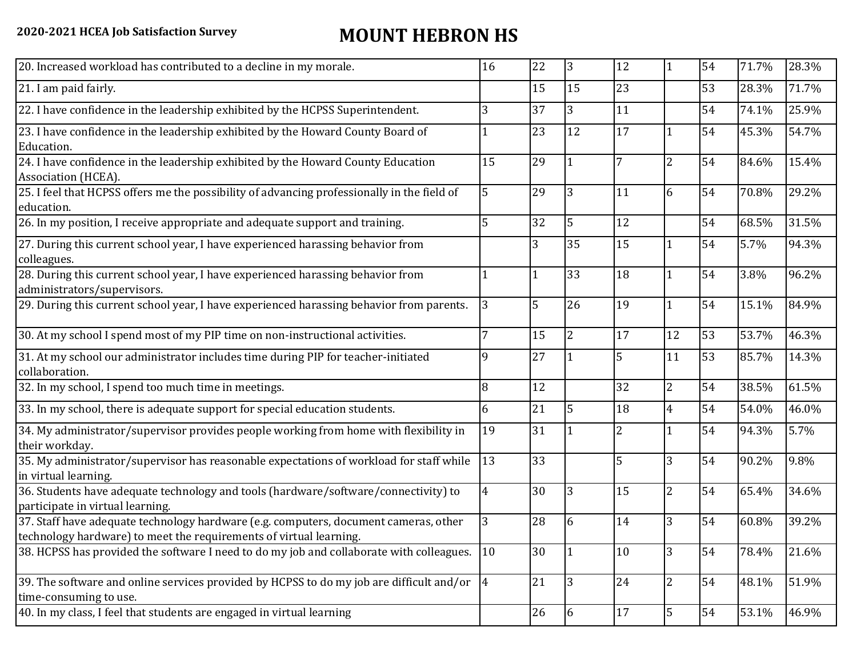## **2020-2021 HCEA Job Satisfaction Survey MOUNT HEBRON HS**

| 20. Increased workload has contributed to a decline in my morale.                                                                                          | 16 | 22 | $\overline{3}$ | 12             | $\mathbf{1}$   | 54 | 71.7% | 28.3% |
|------------------------------------------------------------------------------------------------------------------------------------------------------------|----|----|----------------|----------------|----------------|----|-------|-------|
| 21. I am paid fairly.                                                                                                                                      |    | 15 | 15             | 23             |                | 53 | 28.3% | 71.7% |
| 22. I have confidence in the leadership exhibited by the HCPSS Superintendent.                                                                             | 3  | 37 | 3              | 11             |                | 54 | 74.1% | 25.9% |
| 23. I have confidence in the leadership exhibited by the Howard County Board of<br>Education.                                                              |    | 23 | 12             | 17             |                | 54 | 45.3% | 54.7% |
| 24. I have confidence in the leadership exhibited by the Howard County Education<br>Association (HCEA).                                                    | 15 | 29 |                | 7              | $\overline{2}$ | 54 | 84.6% | 15.4% |
| 25. I feel that HCPSS offers me the possibility of advancing professionally in the field of<br>education.                                                  | 5  | 29 | 3              | 11             | 6              | 54 | 70.8% | 29.2% |
| 26. In my position, I receive appropriate and adequate support and training.                                                                               | 5  | 32 | 5              | 12             |                | 54 | 68.5% | 31.5% |
| 27. During this current school year, I have experienced harassing behavior from<br>colleagues.                                                             |    | 3  | 35             | 15             |                | 54 | 5.7%  | 94.3% |
| 28. During this current school year, I have experienced harassing behavior from<br>administrators/supervisors.                                             |    |    | 33             | 18             |                | 54 | 3.8%  | 96.2% |
| 29. During this current school year, I have experienced harassing behavior from parents.                                                                   | 3  | 5  | 26             | 19             |                | 54 | 15.1% | 84.9% |
| 30. At my school I spend most of my PIP time on non-instructional activities.                                                                              | 7  | 15 | $\overline{2}$ | 17             | 12             | 53 | 53.7% | 46.3% |
| 31. At my school our administrator includes time during PIP for teacher-initiated<br>collaboration.                                                        | 9  | 27 |                | 5              | 11             | 53 | 85.7% | 14.3% |
| 32. In my school, I spend too much time in meetings.                                                                                                       | 8  | 12 |                | 32             | $\overline{2}$ | 54 | 38.5% | 61.5% |
| 33. In my school, there is adequate support for special education students.                                                                                | 6  | 21 | 5              | 18             | $\overline{4}$ | 54 | 54.0% | 46.0% |
| 34. My administrator/supervisor provides people working from home with flexibility in<br>their workday.                                                    | 19 | 31 |                | $\overline{2}$ |                | 54 | 94.3% | 5.7%  |
| 35. My administrator/supervisor has reasonable expectations of workload for staff while<br>in virtual learning.                                            | 13 | 33 |                | 5              | 3              | 54 | 90.2% | 9.8%  |
| 36. Students have adequate technology and tools (hardware/software/connectivity) to<br>participate in virtual learning.                                    | 4  | 30 | 3              | 15             | $\overline{2}$ | 54 | 65.4% | 34.6% |
| 37. Staff have adequate technology hardware (e.g. computers, document cameras, other<br>technology hardware) to meet the requirements of virtual learning. | 3  | 28 | 6              | 14             | 3              | 54 | 60.8% | 39.2% |
| 38. HCPSS has provided the software I need to do my job and collaborate with colleagues.                                                                   | 10 | 30 |                | 10             | 3              | 54 | 78.4% | 21.6% |
| 39. The software and online services provided by HCPSS to do my job are difficult and/or $\vert 4 \vert$<br>time-consuming to use.                         |    | 21 | $\overline{3}$ | 24             | $\overline{2}$ | 54 | 48.1% | 51.9% |
| 40. In my class, I feel that students are engaged in virtual learning                                                                                      |    | 26 | 6              | 17             | 5              | 54 | 53.1% | 46.9% |